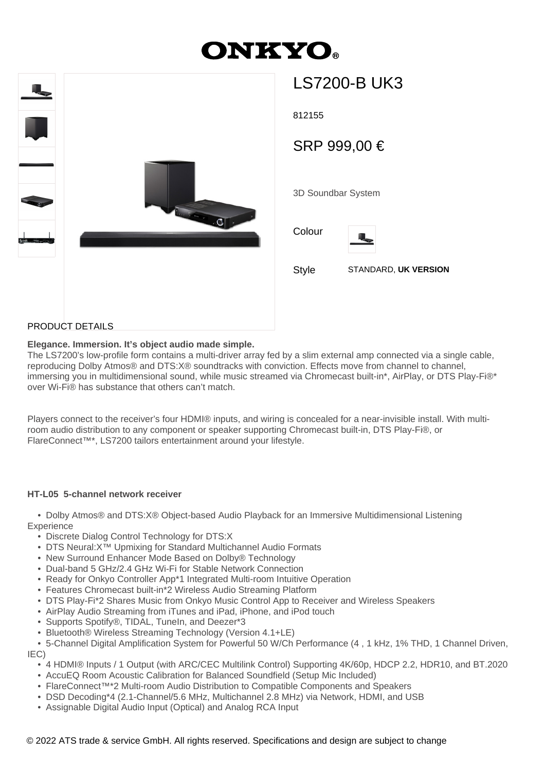# **ONKYO**



| LS7200-B UK3       |                      |  |
|--------------------|----------------------|--|
| 812155             |                      |  |
| SRP 999,00 €       |                      |  |
| 3D Soundbar System |                      |  |
| Colour             |                      |  |
| Style              | STANDARD, UK VERSION |  |
|                    |                      |  |

## PRODUCT DETAILS

### **Elegance. Immersion. It's object audio made simple.**

The LS7200's low-profile form contains a multi-driver array fed by a slim external amp connected via a single cable, reproducing Dolby Atmos® and DTS:X® soundtracks with conviction. Effects move from channel to channel, immersing you in multidimensional sound, while music streamed via Chromecast built-in\*, AirPlay, or DTS Play-Fi®\* over Wi-Fi® has substance that others can't match.

Players connect to the receiver's four HDMI® inputs, and wiring is concealed for a near-invisible install. With multiroom audio distribution to any component or speaker supporting Chromecast built-in, DTS Play-Fi®, or FlareConnect™\*, LS7200 tailors entertainment around your lifestyle.

### **HT-L05 5-channel network receiver**

 • Dolby Atmos® and DTS:X® Object-based Audio Playback for an Immersive Multidimensional Listening **Experience** 

- Discrete Dialog Control Technology for DTS:X
- DTS Neural:X™ Upmixing for Standard Multichannel Audio Formats
- New Surround Enhancer Mode Based on Dolby® Technology
- Dual-band 5 GHz/2.4 GHz Wi-Fi for Stable Network Connection
- Ready for Onkyo Controller App\*1 Integrated Multi-room Intuitive Operation
- Features Chromecast built-in\*2 Wireless Audio Streaming Platform
- DTS Play-Fi\*2 Shares Music from Onkyo Music Control App to Receiver and Wireless Speakers
- AirPlay Audio Streaming from iTunes and iPad, iPhone, and iPod touch
- Supports Spotify®, TIDAL, TuneIn, and Deezer\*3
- Bluetooth® Wireless Streaming Technology (Version 4.1+LE)

 • 5-Channel Digital Amplification System for Powerful 50 W/Ch Performance (4 , 1 kHz, 1% THD, 1 Channel Driven, IEC)

- 4 HDMI® Inputs / 1 Output (with ARC/CEC Multilink Control) Supporting 4K/60p, HDCP 2.2, HDR10, and BT.2020
- AccuEQ Room Acoustic Calibration for Balanced Soundfield (Setup Mic Included)
- FlareConnect™\*2 Multi-room Audio Distribution to Compatible Components and Speakers
- DSD Decoding\*4 (2.1-Channel/5.6 MHz, Multichannel 2.8 MHz) via Network, HDMI, and USB
- Assignable Digital Audio Input (Optical) and Analog RCA Input